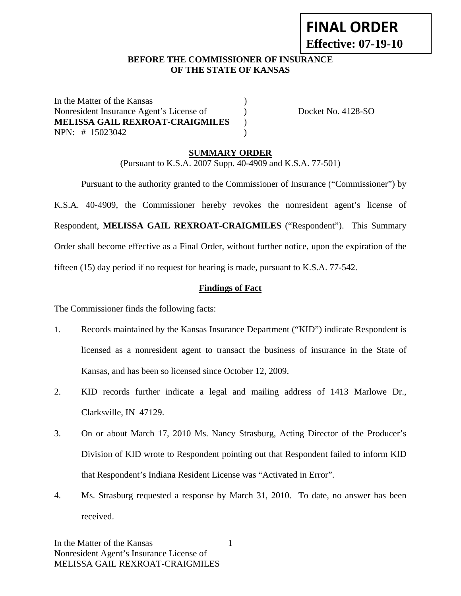# **FINAL ORDER Effective: 07-19-10**

## **BEFORE THE COMMISSIONER OF INSURANCE OF THE STATE OF KANSAS**

In the Matter of the Kansas (1) Nonresident Insurance Agent's License of  $Docket No. 4128-SO$ **MELISSA GAIL REXROAT-CRAIGMILES** ) NPN: # 15023042 )

### **SUMMARY ORDER**

(Pursuant to K.S.A. 2007 Supp. 40-4909 and K.S.A. 77-501)

 Pursuant to the authority granted to the Commissioner of Insurance ("Commissioner") by K.S.A. 40-4909, the Commissioner hereby revokes the nonresident agent's license of Respondent, **MELISSA GAIL REXROAT-CRAIGMILES** ("Respondent"). This Summary Order shall become effective as a Final Order, without further notice, upon the expiration of the fifteen (15) day period if no request for hearing is made, pursuant to K.S.A. 77-542.

#### **Findings of Fact**

The Commissioner finds the following facts:

- 1. Records maintained by the Kansas Insurance Department ("KID") indicate Respondent is licensed as a nonresident agent to transact the business of insurance in the State of Kansas, and has been so licensed since October 12, 2009.
- 2. KID records further indicate a legal and mailing address of 1413 Marlowe Dr., Clarksville, IN 47129.
- 3. On or about March 17, 2010 Ms. Nancy Strasburg, Acting Director of the Producer's Division of KID wrote to Respondent pointing out that Respondent failed to inform KID that Respondent's Indiana Resident License was "Activated in Error".
- 4. Ms. Strasburg requested a response by March 31, 2010. To date, no answer has been received.

1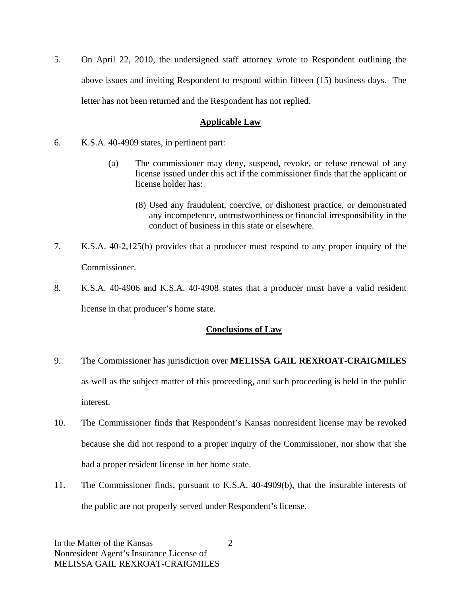5. On April 22, 2010, the undersigned staff attorney wrote to Respondent outlining the above issues and inviting Respondent to respond within fifteen (15) business days. The letter has not been returned and the Respondent has not replied.

## **Applicable Law**

- 6. K.S.A. 40-4909 states, in pertinent part:
	- (a) The commissioner may deny, suspend, revoke, or refuse renewal of any license issued under this act if the commissioner finds that the applicant or license holder has:
		- (8) Used any fraudulent, coercive, or dishonest practice, or demonstrated any incompetence, untrustworthiness or financial irresponsibility in the conduct of business in this state or elsewhere.
- 7. K.S.A. 40-2,125(b) provides that a producer must respond to any proper inquiry of the Commissioner.
- 8. K.S.A. 40-4906 and K.S.A. 40-4908 states that a producer must have a valid resident license in that producer's home state.

## **Conclusions of Law**

- 9. The Commissioner has jurisdiction over **MELISSA GAIL REXROAT-CRAIGMILES** as well as the subject matter of this proceeding, and such proceeding is held in the public interest.
- 10. The Commissioner finds that Respondent's Kansas nonresident license may be revoked because she did not respond to a proper inquiry of the Commissioner, nor show that she had a proper resident license in her home state.
- 11. The Commissioner finds, pursuant to K.S.A. 40-4909(b), that the insurable interests of the public are not properly served under Respondent's license.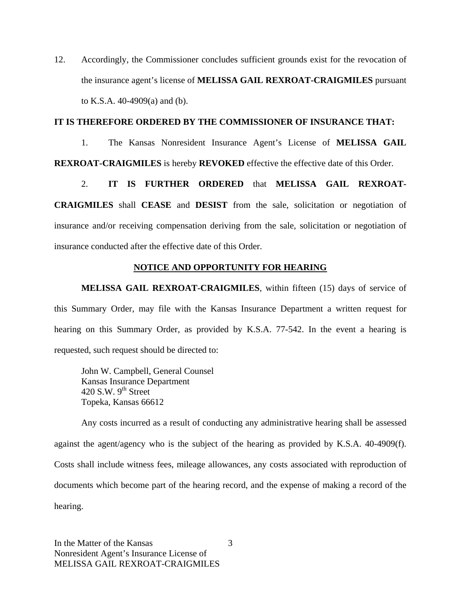12. Accordingly, the Commissioner concludes sufficient grounds exist for the revocation of the insurance agent's license of **MELISSA GAIL REXROAT-CRAIGMILES** pursuant to K.S.A. 40-4909(a) and (b).

### **IT IS THEREFORE ORDERED BY THE COMMISSIONER OF INSURANCE THAT:**

1. The Kansas Nonresident Insurance Agent's License of **MELISSA GAIL REXROAT-CRAIGMILES** is hereby **REVOKED** effective the effective date of this Order.

2. **IT IS FURTHER ORDERED** that **MELISSA GAIL REXROAT-CRAIGMILES** shall **CEASE** and **DESIST** from the sale, solicitation or negotiation of insurance and/or receiving compensation deriving from the sale, solicitation or negotiation of insurance conducted after the effective date of this Order.

### **NOTICE AND OPPORTUNITY FOR HEARING**

**MELISSA GAIL REXROAT-CRAIGMILES**, within fifteen (15) days of service of this Summary Order, may file with the Kansas Insurance Department a written request for hearing on this Summary Order, as provided by K.S.A. 77-542. In the event a hearing is requested, such request should be directed to:

John W. Campbell, General Counsel Kansas Insurance Department 420 S.W.  $9^{th}$  Street Topeka, Kansas 66612

Any costs incurred as a result of conducting any administrative hearing shall be assessed against the agent/agency who is the subject of the hearing as provided by K.S.A. 40-4909(f). Costs shall include witness fees, mileage allowances, any costs associated with reproduction of documents which become part of the hearing record, and the expense of making a record of the hearing.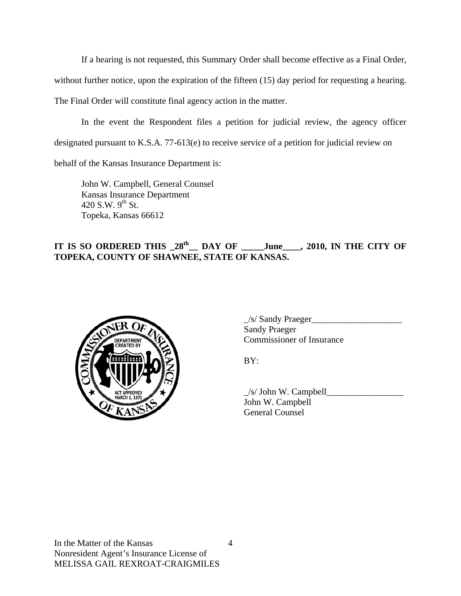If a hearing is not requested, this Summary Order shall become effective as a Final Order,

without further notice, upon the expiration of the fifteen (15) day period for requesting a hearing.

The Final Order will constitute final agency action in the matter.

In the event the Respondent files a petition for judicial review, the agency officer designated pursuant to K.S.A. 77-613(e) to receive service of a petition for judicial review on

behalf of the Kansas Insurance Department is:

John W. Campbell, General Counsel Kansas Insurance Department 420 S.W.  $9^{th}$  St. Topeka, Kansas 66612

## IT IS SO ORDERED THIS  $28^{th}$  DAY OF \_\_\_\_June\_\_\_, 2010, IN THE CITY OF **TOPEKA, COUNTY OF SHAWNEE, STATE OF KANSAS.**



 $\frac{1}{s}$  Sandy Praeger Sandy Praeger Commissioner of Insurance

 $\angle$ s/ John W. Campbell John W. Campbell General Counsel